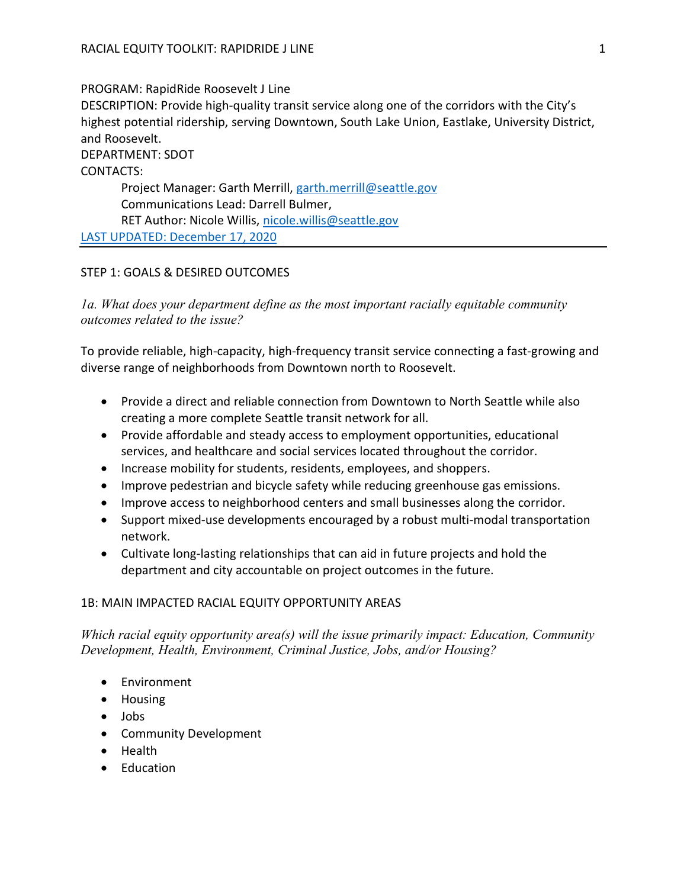#### PROGRAM: RapidRide Roosevelt J Line

DESCRIPTION: Provide high-quality transit service along one of the corridors with the City's highest potential ridership, serving Downtown, South Lake Union, Eastlake, University District, and Roosevelt.

# DEPARTMENT: SDOT

CONTACTS:

Project Manager: Garth Merrill, garth.merrill@seattle.gov Communications Lead: Darrell Bulmer, RET Author: Nicole Willis, nicole.willis@seattle.gov LAST UPDATED: December 17, 2020

# STEP 1: GOALS & DESIRED OUTCOMES

1a. What does your department define as the most important racially equitable community outcomes related to the issue?

To provide reliable, high-capacity, high-frequency transit service connecting a fast-growing and diverse range of neighborhoods from Downtown north to Roosevelt.

- Provide a direct and reliable connection from Downtown to North Seattle while also creating a more complete Seattle transit network for all.
- Provide affordable and steady access to employment opportunities, educational services, and healthcare and social services located throughout the corridor.
- Increase mobility for students, residents, employees, and shoppers.
- Improve pedestrian and bicycle safety while reducing greenhouse gas emissions.
- Improve access to neighborhood centers and small businesses along the corridor.
- Support mixed-use developments encouraged by a robust multi-modal transportation network.
- Cultivate long-lasting relationships that can aid in future projects and hold the department and city accountable on project outcomes in the future.

# 1B: MAIN IMPACTED RACIAL EQUITY OPPORTUNITY AREAS

Which racial equity opportunity area(s) will the issue primarily impact: Education, Community Development, Health, Environment, Criminal Justice, Jobs, and/or Housing?

- Environment
- Housing
- Jobs
- Community Development
- Health
- Education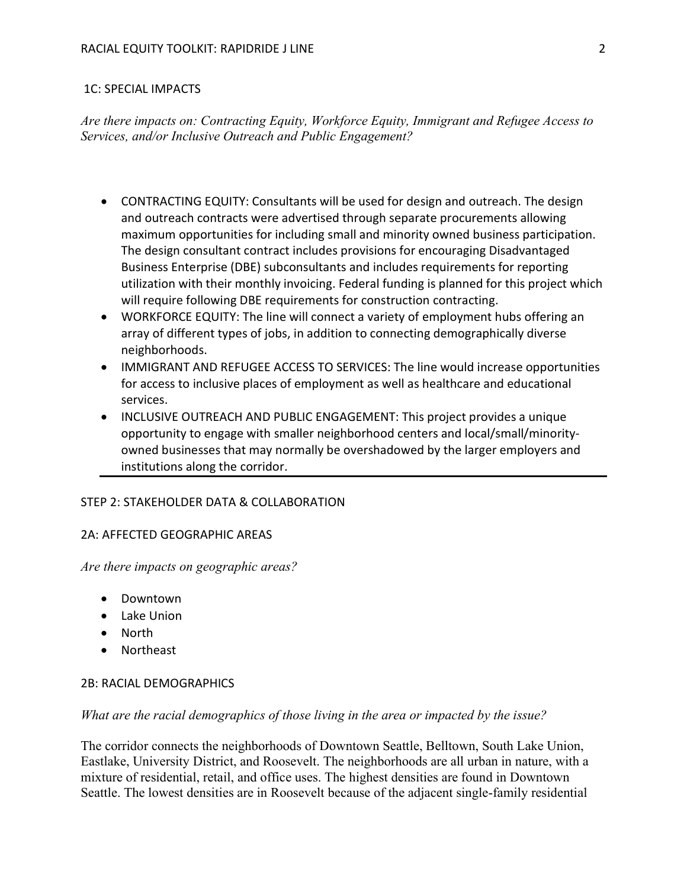## 1C: SPECIAL IMPACTS

Are there impacts on: Contracting Equity, Workforce Equity, Immigrant and Refugee Access to Services, and/or Inclusive Outreach and Public Engagement?

- CONTRACTING EQUITY: Consultants will be used for design and outreach. The design and outreach contracts were advertised through separate procurements allowing maximum opportunities for including small and minority owned business participation. The design consultant contract includes provisions for encouraging Disadvantaged Business Enterprise (DBE) subconsultants and includes requirements for reporting utilization with their monthly invoicing. Federal funding is planned for this project which will require following DBE requirements for construction contracting.
- WORKFORCE EQUITY: The line will connect a variety of employment hubs offering an array of different types of jobs, in addition to connecting demographically diverse neighborhoods.
- IMMIGRANT AND REFUGEE ACCESS TO SERVICES: The line would increase opportunities for access to inclusive places of employment as well as healthcare and educational services.
- INCLUSIVE OUTREACH AND PUBLIC ENGAGEMENT: This project provides a unique opportunity to engage with smaller neighborhood centers and local/small/minorityowned businesses that may normally be overshadowed by the larger employers and institutions along the corridor.

# STEP 2: STAKEHOLDER DATA & COLLABORATION

#### 2A: AFFECTED GEOGRAPHIC AREAS

Are there impacts on geographic areas?

- Downtown
- Lake Union
- North
- Northeast

#### 2B: RACIAL DEMOGRAPHICS

#### What are the racial demographics of those living in the area or impacted by the issue?

The corridor connects the neighborhoods of Downtown Seattle, Belltown, South Lake Union, Eastlake, University District, and Roosevelt. The neighborhoods are all urban in nature, with a mixture of residential, retail, and office uses. The highest densities are found in Downtown Seattle. The lowest densities are in Roosevelt because of the adjacent single-family residential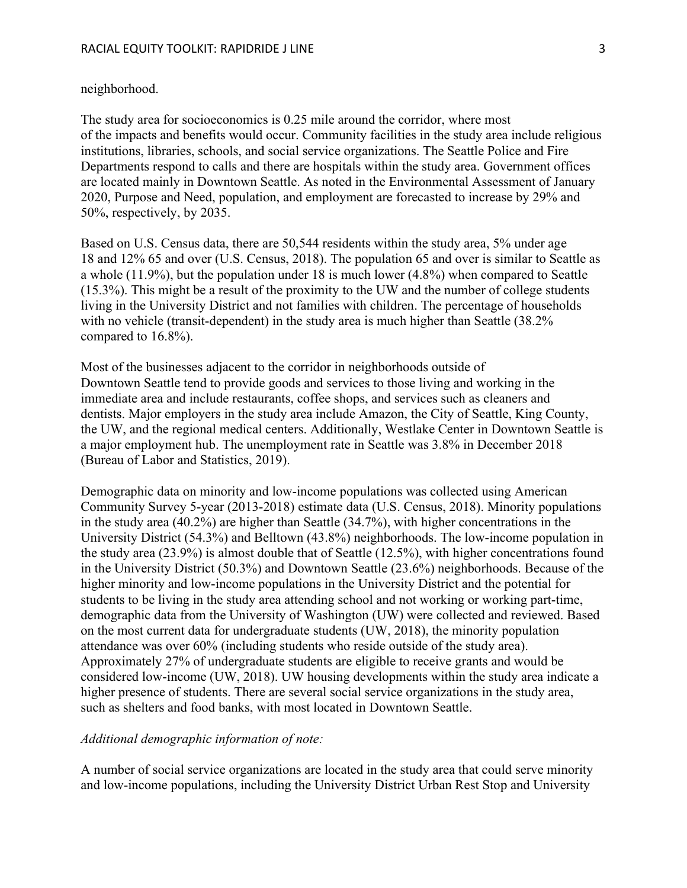#### neighborhood.

The study area for socioeconomics is 0.25 mile around the corridor, where most of the impacts and benefits would occur. Community facilities in the study area include religious institutions, libraries, schools, and social service organizations. The Seattle Police and Fire Departments respond to calls and there are hospitals within the study area. Government offices are located mainly in Downtown Seattle. As noted in the Environmental Assessment of January 2020, Purpose and Need, population, and employment are forecasted to increase by 29% and 50%, respectively, by 2035.

Based on U.S. Census data, there are 50,544 residents within the study area, 5% under age 18 and 12% 65 and over (U.S. Census, 2018). The population 65 and over is similar to Seattle as a whole (11.9%), but the population under 18 is much lower (4.8%) when compared to Seattle (15.3%). This might be a result of the proximity to the UW and the number of college students living in the University District and not families with children. The percentage of households with no vehicle (transit-dependent) in the study area is much higher than Seattle (38.2% compared to 16.8%).

Most of the businesses adjacent to the corridor in neighborhoods outside of Downtown Seattle tend to provide goods and services to those living and working in the immediate area and include restaurants, coffee shops, and services such as cleaners and dentists. Major employers in the study area include Amazon, the City of Seattle, King County, the UW, and the regional medical centers. Additionally, Westlake Center in Downtown Seattle is a major employment hub. The unemployment rate in Seattle was 3.8% in December 2018 (Bureau of Labor and Statistics, 2019).

Demographic data on minority and low-income populations was collected using American Community Survey 5-year (2013-2018) estimate data (U.S. Census, 2018). Minority populations in the study area (40.2%) are higher than Seattle (34.7%), with higher concentrations in the University District (54.3%) and Belltown (43.8%) neighborhoods. The low-income population in the study area (23.9%) is almost double that of Seattle (12.5%), with higher concentrations found in the University District (50.3%) and Downtown Seattle (23.6%) neighborhoods. Because of the higher minority and low-income populations in the University District and the potential for students to be living in the study area attending school and not working or working part-time, demographic data from the University of Washington (UW) were collected and reviewed. Based on the most current data for undergraduate students (UW, 2018), the minority population attendance was over 60% (including students who reside outside of the study area). Approximately 27% of undergraduate students are eligible to receive grants and would be considered low-income (UW, 2018). UW housing developments within the study area indicate a higher presence of students. There are several social service organizations in the study area, such as shelters and food banks, with most located in Downtown Seattle.

## Additional demographic information of note:

A number of social service organizations are located in the study area that could serve minority and low-income populations, including the University District Urban Rest Stop and University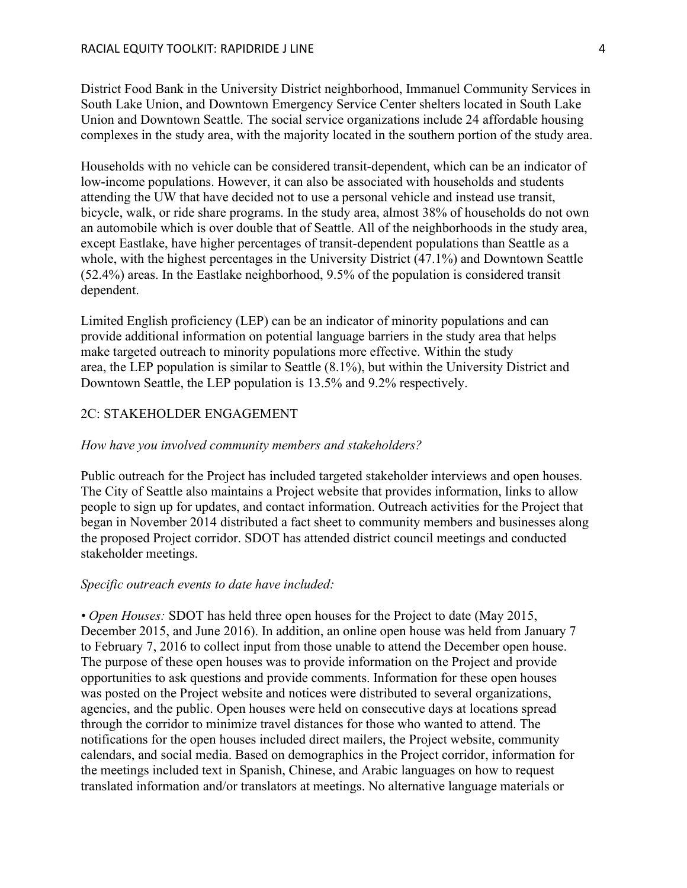District Food Bank in the University District neighborhood, Immanuel Community Services in South Lake Union, and Downtown Emergency Service Center shelters located in South Lake Union and Downtown Seattle. The social service organizations include 24 affordable housing complexes in the study area, with the majority located in the southern portion of the study area.

Households with no vehicle can be considered transit-dependent, which can be an indicator of low-income populations. However, it can also be associated with households and students attending the UW that have decided not to use a personal vehicle and instead use transit, bicycle, walk, or ride share programs. In the study area, almost 38% of households do not own an automobile which is over double that of Seattle. All of the neighborhoods in the study area, except Eastlake, have higher percentages of transit-dependent populations than Seattle as a whole, with the highest percentages in the University District (47.1%) and Downtown Seattle (52.4%) areas. In the Eastlake neighborhood, 9.5% of the population is considered transit dependent.

Limited English proficiency (LEP) can be an indicator of minority populations and can provide additional information on potential language barriers in the study area that helps make targeted outreach to minority populations more effective. Within the study area, the LEP population is similar to Seattle (8.1%), but within the University District and Downtown Seattle, the LEP population is 13.5% and 9.2% respectively.

## 2C: STAKEHOLDER ENGAGEMENT

#### How have you involved community members and stakeholders?

Public outreach for the Project has included targeted stakeholder interviews and open houses. The City of Seattle also maintains a Project website that provides information, links to allow people to sign up for updates, and contact information. Outreach activities for the Project that began in November 2014 distributed a fact sheet to community members and businesses along the proposed Project corridor. SDOT has attended district council meetings and conducted stakeholder meetings.

#### Specific outreach events to date have included:

• Open Houses: SDOT has held three open houses for the Project to date (May 2015, December 2015, and June 2016). In addition, an online open house was held from January 7 to February 7, 2016 to collect input from those unable to attend the December open house. The purpose of these open houses was to provide information on the Project and provide opportunities to ask questions and provide comments. Information for these open houses was posted on the Project website and notices were distributed to several organizations, agencies, and the public. Open houses were held on consecutive days at locations spread through the corridor to minimize travel distances for those who wanted to attend. The notifications for the open houses included direct mailers, the Project website, community calendars, and social media. Based on demographics in the Project corridor, information for the meetings included text in Spanish, Chinese, and Arabic languages on how to request translated information and/or translators at meetings. No alternative language materials or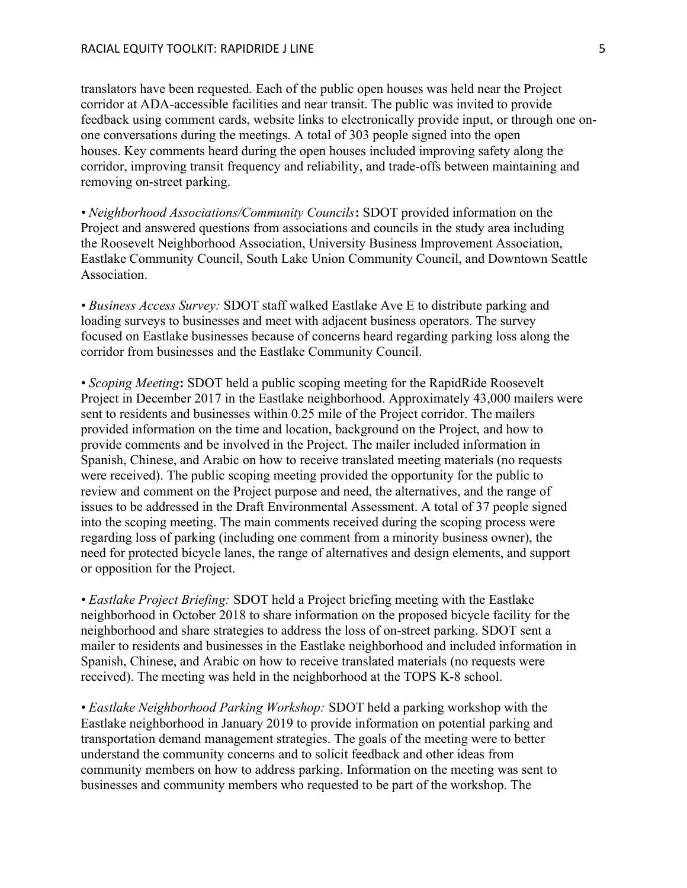translators have been requested. Each of the public open houses was held near the Project corridor at ADA-accessible facilities and near transit. The public was invited to provide feedback using comment cards, website links to electronically provide input, or through one onone conversations during the meetings. A total of 303 people signed into the open houses. Key comments heard during the open houses included improving safety along the corridor, improving transit frequency and reliability, and trade-offs between maintaining and removing on-street parking.

• Neighborhood Associations/Community Councils: SDOT provided information on the Project and answered questions from associations and councils in the study area including the Roosevelt Neighborhood Association, University Business Improvement Association, Eastlake Community Council, South Lake Union Community Council, and Downtown Seattle Association.

• Business Access Survey: SDOT staff walked Eastlake Ave E to distribute parking and loading surveys to businesses and meet with adjacent business operators. The survey focused on Eastlake businesses because of concerns heard regarding parking loss along the corridor from businesses and the Eastlake Community Council.

• Scoping Meeting: SDOT held a public scoping meeting for the RapidRide Roosevelt Project in December 2017 in the Eastlake neighborhood. Approximately 43,000 mailers were sent to residents and businesses within 0.25 mile of the Project corridor. The mailers provided information on the time and location, background on the Project, and how to provide comments and be involved in the Project. The mailer included information in Spanish, Chinese, and Arabic on how to receive translated meeting materials (no requests were received). The public scoping meeting provided the opportunity for the public to review and comment on the Project purpose and need, the alternatives, and the range of issues to be addressed in the Draft Environmental Assessment. A total of 37 people signed into the scoping meeting. The main comments received during the scoping process were regarding loss of parking (including one comment from a minority business owner), the need for protected bicycle lanes, the range of alternatives and design elements, and support or opposition for the Project.

• Eastlake Project Briefing: SDOT held a Project briefing meeting with the Eastlake neighborhood in October 2018 to share information on the proposed bicycle facility for the neighborhood and share strategies to address the loss of on-street parking. SDOT sent a mailer to residents and businesses in the Eastlake neighborhood and included information in Spanish, Chinese, and Arabic on how to receive translated materials (no requests were received). The meeting was held in the neighborhood at the TOPS K-8 school.

• Eastlake Neighborhood Parking Workshop: SDOT held a parking workshop with the Eastlake neighborhood in January 2019 to provide information on potential parking and transportation demand management strategies. The goals of the meeting were to better understand the community concerns and to solicit feedback and other ideas from community members on how to address parking. Information on the meeting was sent to businesses and community members who requested to be part of the workshop. The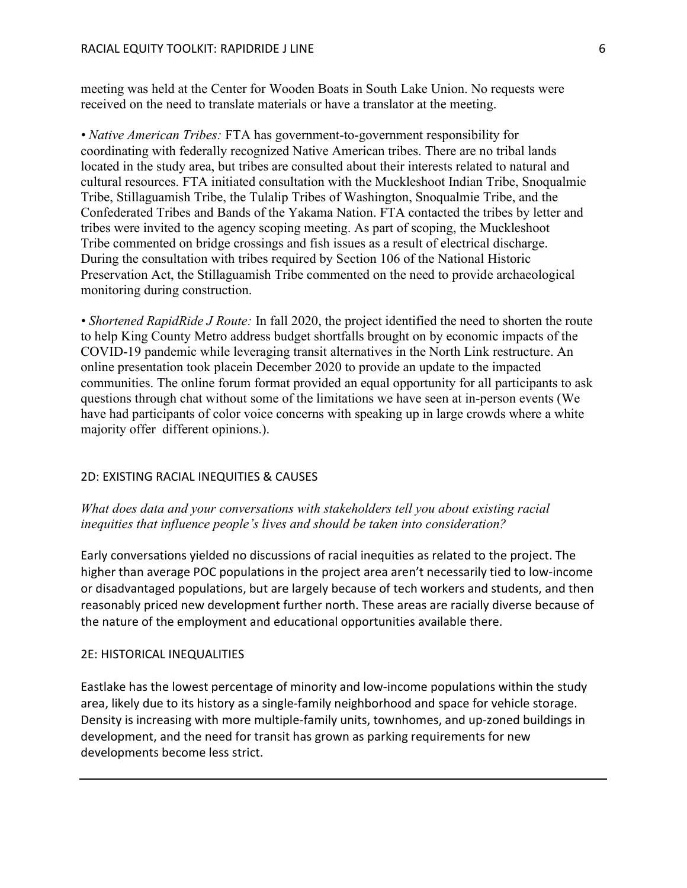meeting was held at the Center for Wooden Boats in South Lake Union. No requests were received on the need to translate materials or have a translator at the meeting.

• Native American Tribes: FTA has government-to-government responsibility for coordinating with federally recognized Native American tribes. There are no tribal lands located in the study area, but tribes are consulted about their interests related to natural and cultural resources. FTA initiated consultation with the Muckleshoot Indian Tribe, Snoqualmie Tribe, Stillaguamish Tribe, the Tulalip Tribes of Washington, Snoqualmie Tribe, and the Confederated Tribes and Bands of the Yakama Nation. FTA contacted the tribes by letter and tribes were invited to the agency scoping meeting. As part of scoping, the Muckleshoot Tribe commented on bridge crossings and fish issues as a result of electrical discharge. During the consultation with tribes required by Section 106 of the National Historic Preservation Act, the Stillaguamish Tribe commented on the need to provide archaeological monitoring during construction.

• Shortened RapidRide J Route: In fall 2020, the project identified the need to shorten the route to help King County Metro address budget shortfalls brought on by economic impacts of the COVID-19 pandemic while leveraging transit alternatives in the North Link restructure. An online presentation took placein December 2020 to provide an update to the impacted communities. The online forum format provided an equal opportunity for all participants to ask questions through chat without some of the limitations we have seen at in-person events (We have had participants of color voice concerns with speaking up in large crowds where a white majority offer different opinions.).

# 2D: EXISTING RACIAL INEQUITIES & CAUSES

What does data and your conversations with stakeholders tell you about existing racial inequities that influence people's lives and should be taken into consideration?

Early conversations yielded no discussions of racial inequities as related to the project. The higher than average POC populations in the project area aren't necessarily tied to low-income or disadvantaged populations, but are largely because of tech workers and students, and then reasonably priced new development further north. These areas are racially diverse because of the nature of the employment and educational opportunities available there.

# 2E: HISTORICAL INEQUALITIES

Eastlake has the lowest percentage of minority and low-income populations within the study area, likely due to its history as a single-family neighborhood and space for vehicle storage. Density is increasing with more multiple-family units, townhomes, and up-zoned buildings in development, and the need for transit has grown as parking requirements for new developments become less strict.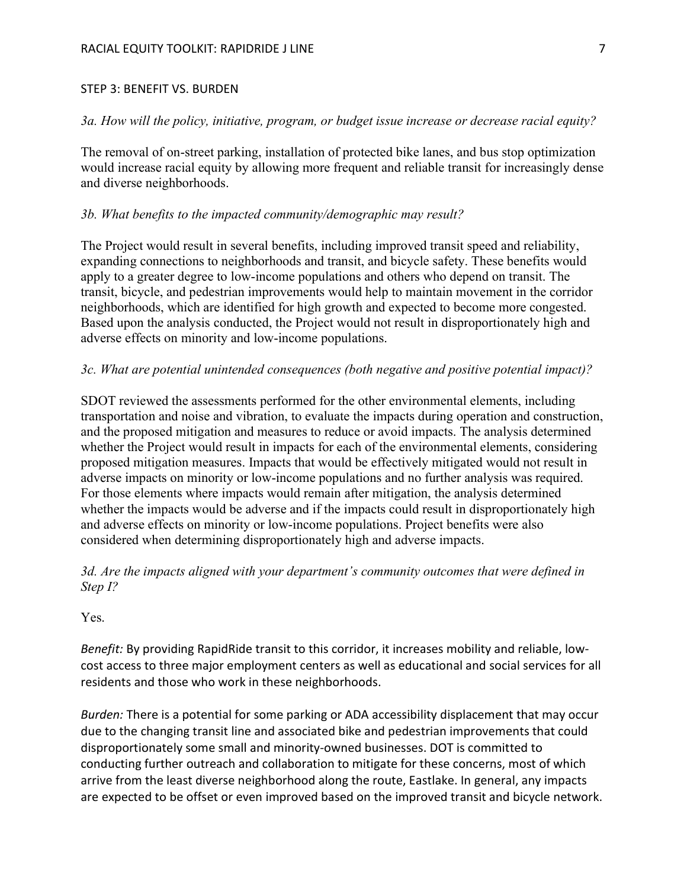#### STEP 3: BENEFIT VS. BURDEN

# 3a. How will the policy, initiative, program, or budget issue increase or decrease racial equity?

The removal of on-street parking, installation of protected bike lanes, and bus stop optimization would increase racial equity by allowing more frequent and reliable transit for increasingly dense and diverse neighborhoods.

# 3b. What benefits to the impacted community/demographic may result?

The Project would result in several benefits, including improved transit speed and reliability, expanding connections to neighborhoods and transit, and bicycle safety. These benefits would apply to a greater degree to low-income populations and others who depend on transit. The transit, bicycle, and pedestrian improvements would help to maintain movement in the corridor neighborhoods, which are identified for high growth and expected to become more congested. Based upon the analysis conducted, the Project would not result in disproportionately high and adverse effects on minority and low-income populations.

# 3c. What are potential unintended consequences (both negative and positive potential impact)?

SDOT reviewed the assessments performed for the other environmental elements, including transportation and noise and vibration, to evaluate the impacts during operation and construction, and the proposed mitigation and measures to reduce or avoid impacts. The analysis determined whether the Project would result in impacts for each of the environmental elements, considering proposed mitigation measures. Impacts that would be effectively mitigated would not result in adverse impacts on minority or low-income populations and no further analysis was required. For those elements where impacts would remain after mitigation, the analysis determined whether the impacts would be adverse and if the impacts could result in disproportionately high and adverse effects on minority or low-income populations. Project benefits were also considered when determining disproportionately high and adverse impacts.

# 3d. Are the impacts aligned with your department's community outcomes that were defined in Step I?

Yes.

Benefit: By providing RapidRide transit to this corridor, it increases mobility and reliable, lowcost access to three major employment centers as well as educational and social services for all residents and those who work in these neighborhoods.

Burden: There is a potential for some parking or ADA accessibility displacement that may occur due to the changing transit line and associated bike and pedestrian improvements that could disproportionately some small and minority-owned businesses. DOT is committed to conducting further outreach and collaboration to mitigate for these concerns, most of which arrive from the least diverse neighborhood along the route, Eastlake. In general, any impacts are expected to be offset or even improved based on the improved transit and bicycle network.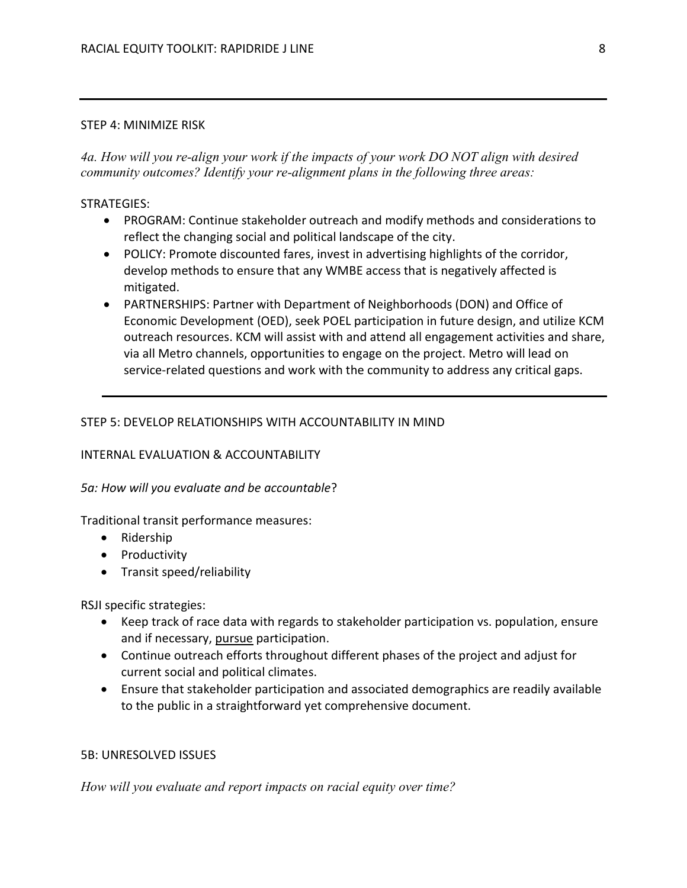#### STEP 4: MINIMIZE RISK

4a. How will you re-align your work if the impacts of your work DO NOT align with desired community outcomes? Identify your re-alignment plans in the following three areas:

# STRATEGIES:

- PROGRAM: Continue stakeholder outreach and modify methods and considerations to reflect the changing social and political landscape of the city.
- POLICY: Promote discounted fares, invest in advertising highlights of the corridor, develop methods to ensure that any WMBE access that is negatively affected is mitigated.
- PARTNERSHIPS: Partner with Department of Neighborhoods (DON) and Office of Economic Development (OED), seek POEL participation in future design, and utilize KCM outreach resources. KCM will assist with and attend all engagement activities and share, via all Metro channels, opportunities to engage on the project. Metro will lead on service-related questions and work with the community to address any critical gaps.

# STEP 5: DEVELOP RELATIONSHIPS WITH ACCOUNTABILITY IN MIND

# INTERNAL EVALUATION & ACCOUNTABILITY

# 5a: How will you evaluate and be accountable?

# Traditional transit performance measures:

- Ridership
- Productivity
- Transit speed/reliability

RSJI specific strategies:

- Keep track of race data with regards to stakeholder participation vs. population, ensure and if necessary, pursue participation.
- Continue outreach efforts throughout different phases of the project and adjust for current social and political climates.
- Ensure that stakeholder participation and associated demographics are readily available to the public in a straightforward yet comprehensive document.

# 5B: UNRESOLVED ISSUES

How will you evaluate and report impacts on racial equity over time?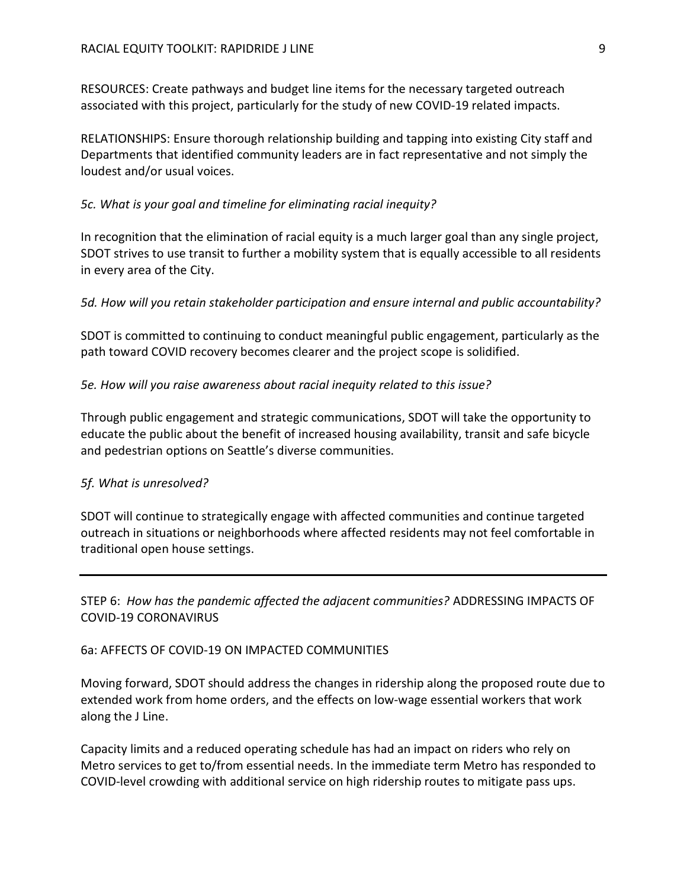RESOURCES: Create pathways and budget line items for the necessary targeted outreach associated with this project, particularly for the study of new COVID-19 related impacts.

RELATIONSHIPS: Ensure thorough relationship building and tapping into existing City staff and Departments that identified community leaders are in fact representative and not simply the loudest and/or usual voices.

#### 5c. What is your goal and timeline for eliminating racial inequity?

In recognition that the elimination of racial equity is a much larger goal than any single project, SDOT strives to use transit to further a mobility system that is equally accessible to all residents in every area of the City.

5d. How will you retain stakeholder participation and ensure internal and public accountability?

SDOT is committed to continuing to conduct meaningful public engagement, particularly as the path toward COVID recovery becomes clearer and the project scope is solidified.

5e. How will you raise awareness about racial inequity related to this issue?

Through public engagement and strategic communications, SDOT will take the opportunity to educate the public about the benefit of increased housing availability, transit and safe bicycle and pedestrian options on Seattle's diverse communities.

#### 5f. What is unresolved?

SDOT will continue to strategically engage with affected communities and continue targeted outreach in situations or neighborhoods where affected residents may not feel comfortable in traditional open house settings.

STEP 6: How has the pandemic affected the adjacent communities? ADDRESSING IMPACTS OF COVID-19 CORONAVIRUS

#### 6a: AFFECTS OF COVID-19 ON IMPACTED COMMUNITIES

Moving forward, SDOT should address the changes in ridership along the proposed route due to extended work from home orders, and the effects on low-wage essential workers that work along the J Line.

Capacity limits and a reduced operating schedule has had an impact on riders who rely on Metro services to get to/from essential needs. In the immediate term Metro has responded to COVID-level crowding with additional service on high ridership routes to mitigate pass ups.